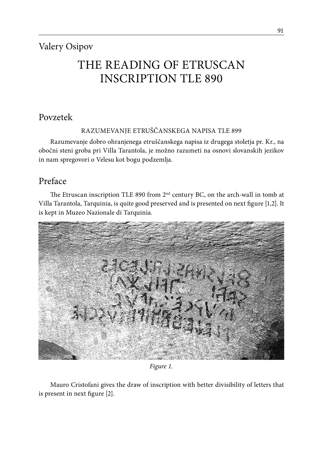# THE READING OF ETRUSCAN INSCRIPTION TLE 890

# Povzetek

RAZUMEVANJE ETRUŠČANSKEGA NAPISA TLE 899

Razumevanje dobro ohranjenega etruščanskega napisa iz drugega stoletja pr. Kr., na obočni steni groba pri Villa Tarantola, je možno razumeti na osnovi slovanskih jezikov in nam spregovori o Velesu kot bogu podzemlja.

# Preface

The Etruscan inscription TLE 890 from 2<sup>nd</sup> century BC, on the arch-wall in tomb at Villa Tarantola, Tarquinia, is quite good preserved and is presented on next figure [1,2]. It is kept in Muzeo Nazionale di Tarquinia.



*Figure 1.*

Mauro Cristofani gives the draw of inscription with better divisibility of letters that is present in next figure [2].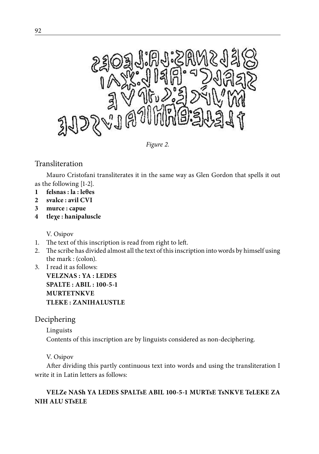

*Figure 2.*

### Transliteration

Mauro Cristofani transliterates it in the same way as Glen Gordon that spells it out as the following [1-2].

- **1 felsnas : la : leθes**
- **2 svalce : avil CVI**
- **3 murce : capue**
- **4 tleχe : hanipaluscle**

V. Osipov

- 1. The text of this inscription is read from right to left.
- 2. The scribe has divided almost all the text of this inscription into words by himself using the mark : (colon).
- 3. I read it as follows:

**VELZNAS : YA : LEDES SPALTE : ABIL : 100-5-1 MURTETNKVE TLEKE : ZANIHALUSTLE**

### Deciphering

Linguists

Contents of this inscription are by linguists considered as non-deciphering.

V. Osipov

After dividing this partly continuous text into words and using the transliteration I write it in Latin letters as follows:

### **VELZe NASh YA LEDES SPALTsE ABIL 100-5-1 MURTsE TsNKVE TeLEKE ZA NIH ALU STsELE**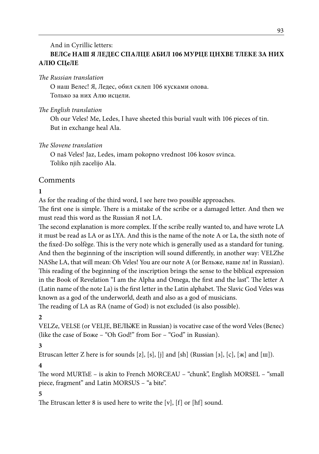#### And in Cyrillic letters: **ВЕЛСе НАШ Я ЛЕДЕС СПАЛЦЕ АБИЛ 106 МУРЦЕ ЦНХВЕ ТЛЕКЕ ЗА НИХ АЛЮ СЦеЛЕ**

*The Russian translation*

О наш Велес! Я, Ледес, обил склеп 106 кусками олова. Только за них Алю исцели.

*The English translation*

Oh our Veles! Me, Ledes, I have sheeted this burial vault with 106 pieces of tin. But in exchange heal Ala.

#### *The Slovene translation*

O naš Veles! Jaz, Ledes, imam pokopno vrednost 106 kosov svinca. Toliko njih zacelijo Ala.

#### Comments

#### **1**

As for the reading of the third word, I see here two possible approaches.

The first one is simple. There is a mistake of the scribe or a damaged letter. And then we must read this word as the Russian Я not LA.

The second explanation is more complex. If the scribe really wanted to, and have wrote LA it must be read as LA or as LYA. And this is the name of the note A or La, the sixth note of the fixed-Do solfège. This is the very note which is generally used as a standard for tuning. And then the beginning of the inscription will sound differently, in another way: VELZhe NAShe LA, that will mean: Oh Veles! You are our note A (or Вельже, наше ля! in Russian). This reading of the beginning of the inscription brings the sense to the biblical expression in the Book of Revelation "I am the Alpha and Omega, the first and the last". The letter A (Latin name of the note La) is the first letter in the Latin alphabet. The Slavic God Veles was known as a god of the underworld, death and also as a god of musicians.

The reading of LA as RA (name of God) is not excluded (is also possible).

#### **2**

VELZe, VELSE (or VELJE, ВЕЛЬЖЕ in Russian) is vocative case of the word Veles (Велес) (like the case of Боже – "Oh God!" from Бог – "God" in Russian).

#### **3**

Etruscan letter Z here is for sounds [z], [s], [j] and [sh] (Russian [3], [c], [ж] and [ш]).

#### **4**

The word MURTsE – is akin to French MORCEAU – "chunk", English MORSEL – "small piece, fragment" and Latin MORSUS – "a bite".

#### **5**

The Etruscan letter 8 is used here to write the [v], [f] or [hf] sound.